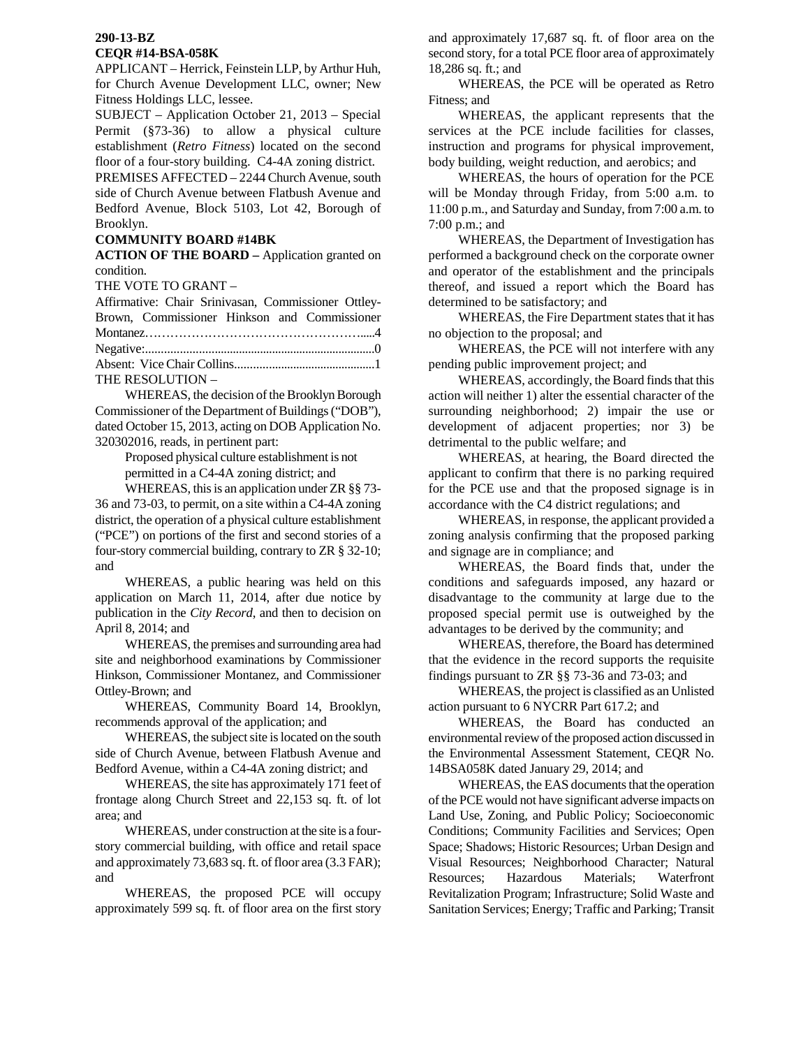## **290-13-BZ CEQR #14-BSA-058K**

APPLICANT – Herrick, Feinstein LLP, by Arthur Huh, for Church Avenue Development LLC, owner; New Fitness Holdings LLC, lessee.

SUBJECT – Application October 21, 2013 – Special Permit (§73-36) to allow a physical culture establishment (*Retro Fitness*) located on the second floor of a four-story building. C4-4A zoning district.

PREMISES AFFECTED – 2244 Church Avenue, south side of Church Avenue between Flatbush Avenue and Bedford Avenue, Block 5103, Lot 42, Borough of Brooklyn.

## **COMMUNITY BOARD #14BK**

**ACTION OF THE BOARD –** Application granted on condition.

THE VOTE TO GRANT –

| Affirmative: Chair Srinivasan, Commissioner Ottley- |  |
|-----------------------------------------------------|--|
| Brown, Commissioner Hinkson and Commissioner        |  |
|                                                     |  |
|                                                     |  |
|                                                     |  |
| THE RESOLUTION -                                    |  |

WHEREAS, the decision of the Brooklyn Borough Commissioner of the Department of Buildings ("DOB"), dated October 15, 2013, acting on DOB Application No. 320302016, reads, in pertinent part:

> Proposed physical culture establishment is not permitted in a C4-4A zoning district; and

WHEREAS, this is an application under ZR §§ 73- 36 and 73-03, to permit, on a site within a C4-4A zoning district, the operation of a physical culture establishment ("PCE") on portions of the first and second stories of a four-story commercial building, contrary to ZR § 32-10; and

WHEREAS, a public hearing was held on this application on March 11, 2014, after due notice by publication in the *City Record*, and then to decision on April 8, 2014; and

WHEREAS, the premises and surrounding area had site and neighborhood examinations by Commissioner Hinkson, Commissioner Montanez, and Commissioner Ottley-Brown; and

WHEREAS, Community Board 14, Brooklyn, recommends approval of the application; and

WHEREAS, the subject site is located on the south side of Church Avenue, between Flatbush Avenue and Bedford Avenue, within a C4-4A zoning district; and

WHEREAS, the site has approximately 171 feet of frontage along Church Street and 22,153 sq. ft. of lot area; and

WHEREAS, under construction at the site is a fourstory commercial building, with office and retail space and approximately 73,683 sq. ft. of floor area (3.3 FAR); and

WHEREAS, the proposed PCE will occupy approximately 599 sq. ft. of floor area on the first story and approximately 17,687 sq. ft. of floor area on the second story, for a total PCE floor area of approximately 18,286 sq. ft.; and

WHEREAS, the PCE will be operated as Retro Fitness; and

WHEREAS, the applicant represents that the services at the PCE include facilities for classes, instruction and programs for physical improvement, body building, weight reduction, and aerobics; and

WHEREAS, the hours of operation for the PCE will be Monday through Friday, from 5:00 a.m. to 11:00 p.m., and Saturday and Sunday, from 7:00 a.m. to 7:00 p.m.; and

WHEREAS, the Department of Investigation has performed a background check on the corporate owner and operator of the establishment and the principals thereof, and issued a report which the Board has determined to be satisfactory; and

WHEREAS, the Fire Department states that it has no objection to the proposal; and

WHEREAS, the PCE will not interfere with any pending public improvement project; and

WHEREAS, accordingly, the Board finds that this action will neither 1) alter the essential character of the surrounding neighborhood; 2) impair the use or development of adjacent properties; nor 3) be detrimental to the public welfare; and

WHEREAS, at hearing, the Board directed the applicant to confirm that there is no parking required for the PCE use and that the proposed signage is in accordance with the C4 district regulations; and

WHEREAS, in response, the applicant provided a zoning analysis confirming that the proposed parking and signage are in compliance; and

WHEREAS, the Board finds that, under the conditions and safeguards imposed, any hazard or disadvantage to the community at large due to the proposed special permit use is outweighed by the advantages to be derived by the community; and

WHEREAS, therefore, the Board has determined that the evidence in the record supports the requisite findings pursuant to ZR §§ 73-36 and 73-03; and

WHEREAS, the project is classified as an Unlisted action pursuant to 6 NYCRR Part 617.2; and

WHEREAS, the Board has conducted an environmental review of the proposed action discussed in the Environmental Assessment Statement, CEQR No. 14BSA058K dated January 29, 2014; and

WHEREAS, the EAS documents that the operation of the PCE would not have significant adverse impacts on Land Use, Zoning, and Public Policy; Socioeconomic Conditions; Community Facilities and Services; Open Space; Shadows; Historic Resources; Urban Design and Visual Resources; Neighborhood Character; Natural Resources; Hazardous Materials; Waterfront Revitalization Program; Infrastructure; Solid Waste and Sanitation Services; Energy; Traffic and Parking; Transit